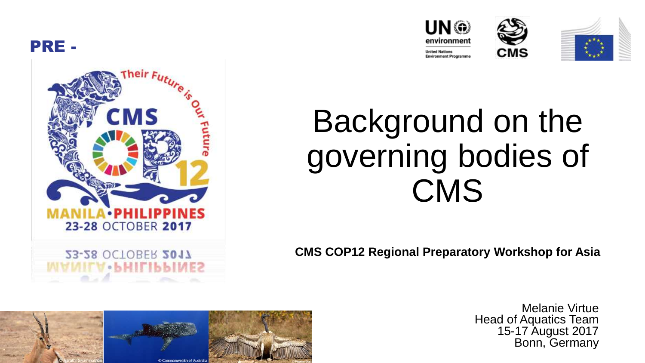



**V**. **MITIN** 







## Background on the governing bodies of **CMS**

**CMS COP12 Regional Preparatory Workshop for Asia**



Melanie Virtue Head of Aquatics Team 15-17 August 2017 Bonn, Germany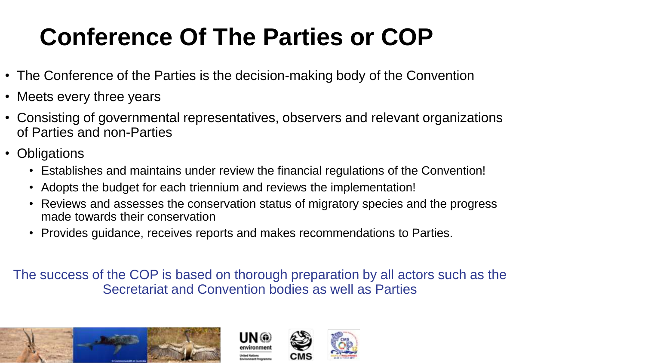## **Conference Of The Parties or COP**

- The Conference of the Parties is the decision-making body of the Convention
- Meets every three years
- Consisting of governmental representatives, observers and relevant organizations of Parties and non-Parties
- Obligations
	- Establishes and maintains under review the financial regulations of the Convention!
	- Adopts the budget for each triennium and reviews the implementation!
	- Reviews and assesses the conservation status of migratory species and the progress made towards their conservation
	- Provides guidance, receives reports and makes recommendations to Parties.

The success of the COP is based on thorough preparation by all actors such as the Secretariat and Convention bodies as well as Parties





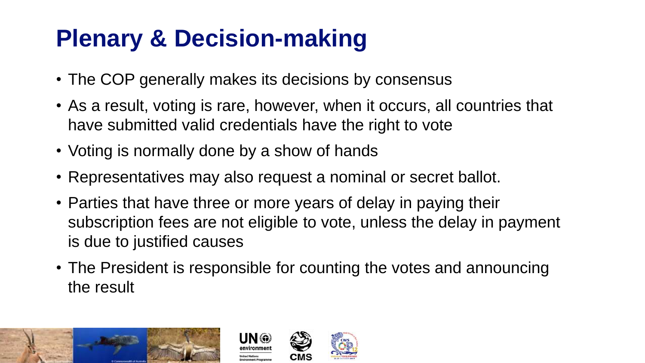## **Plenary & Decision-making**

• The COP generally makes its decisions by consensus

UN @

- As a result, voting is rare, however, when it occurs, all countries that have submitted valid credentials have the right to vote
- Voting is normally done by a show of hands
- Representatives may also request a nominal or secret ballot.
- Parties that have three or more years of delay in paying their subscription fees are not eligible to vote, unless the delay in payment is due to justified causes
- The President is responsible for counting the votes and announcing the result





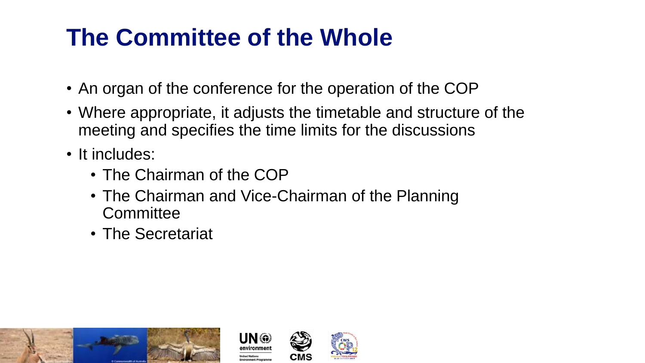## **The Committee of the Whole**

- An organ of the conference for the operation of the COP
- Where appropriate, it adjusts the timetable and structure of the meeting and specifies the time limits for the discussions
- It includes:
	- The Chairman of the COP
	- The Chairman and Vice-Chairman of the Planning **Committee**
	- The Secretariat





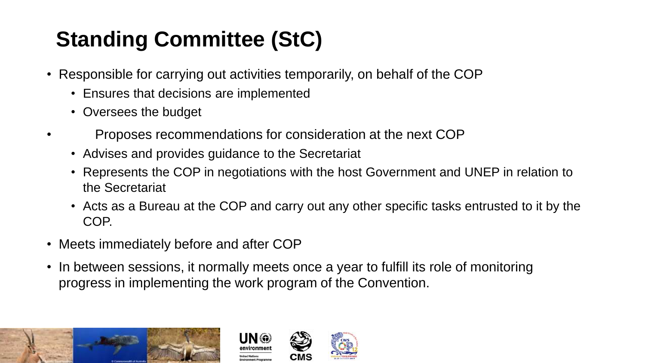### **Standing Committee (StC)**

- Responsible for carrying out activities temporarily, on behalf of the COP
	- Ensures that decisions are implemented
	- Oversees the budget
- Proposes recommendations for consideration at the next COP
	- Advises and provides guidance to the Secretariat
	- Represents the COP in negotiations with the host Government and UNEP in relation to the Secretariat
	- Acts as a Bureau at the COP and carry out any other specific tasks entrusted to it by the COP.
- Meets immediately before and after COP
- In between sessions, it normally meets once a year to fulfill its role of monitoring progress in implementing the work program of the Convention.





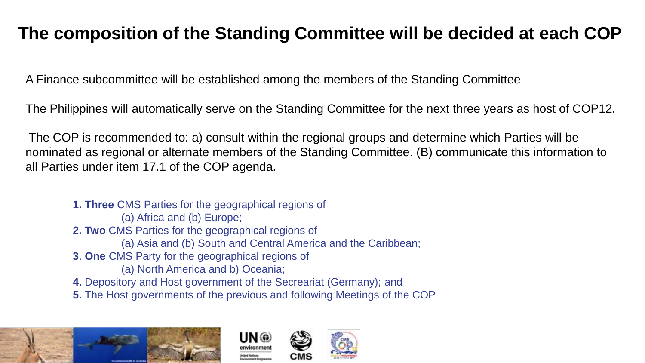#### **The composition of the Standing Committee will be decided at each COP**

A Finance subcommittee will be established among the members of the Standing Committee

The Philippines will automatically serve on the Standing Committee for the next three years as host of COP12.

The COP is recommended to: a) consult within the regional groups and determine which Parties will be nominated as regional or alternate members of the Standing Committee. (B) communicate this information to all Parties under item 17.1 of the COP agenda.

- **1. Three** CMS Parties for the geographical regions of (a) Africa and (b) Europe; **2. Two** CMS Parties for the geographical regions of (a) Asia and (b) South and Central America and the Caribbean; **3**. **One** CMS Party for the geographical regions of (a) North America and b) Oceania; **4.** Depository and Host government of the Secreariat (Germany); and
	- **5.** The Host governments of the previous and following Meetings of the COP





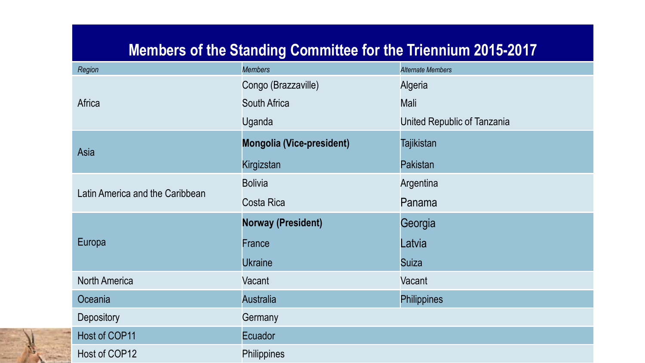#### **Members of the Standing Committee for the Triennium 2015-2017**

| Region                          | <b>Members</b>                   | <b>Alternate Members</b>    |
|---------------------------------|----------------------------------|-----------------------------|
|                                 | Congo (Brazzaville)              | Algeria                     |
| Africa                          | <b>South Africa</b>              | Mali                        |
|                                 | Uganda                           | United Republic of Tanzania |
| Asia                            | <b>Mongolia (Vice-president)</b> | <b>Tajikistan</b>           |
|                                 | Kirgizstan                       | Pakistan                    |
| Latin America and the Caribbean | <b>Bolivia</b>                   | Argentina                   |
|                                 | Costa Rica                       | Panama                      |
|                                 |                                  |                             |
|                                 | <b>Norway (President)</b>        | Georgia                     |
| Europa                          | France                           | Latvia                      |
|                                 | <b>Ukraine</b>                   | <b>Suiza</b>                |
| <b>North America</b>            | Vacant                           | Vacant                      |
| Oceania                         | <b>Australia</b>                 | <b>Philippines</b>          |
| <b>Depository</b>               | Germany                          |                             |
| Host of COP11                   | Ecuador                          |                             |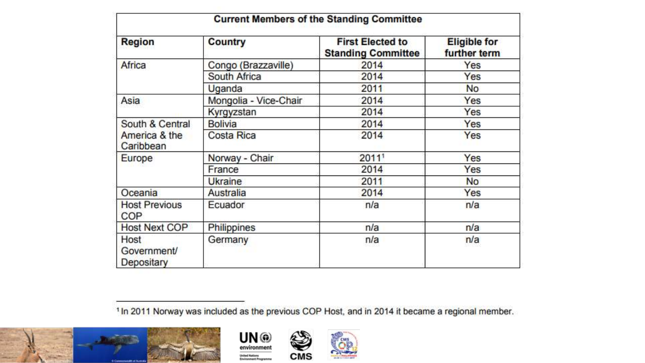| <b>Current Members of the Standing Committee</b> |                       |                                                      |                                     |
|--------------------------------------------------|-----------------------|------------------------------------------------------|-------------------------------------|
| <b>Region</b>                                    | Country               | <b>First Elected to</b><br><b>Standing Committee</b> | <b>Eligible for</b><br>further term |
| Africa                                           | Congo (Brazzaville)   | 2014                                                 | Yes                                 |
|                                                  | South Africa          | 2014                                                 | Yes                                 |
|                                                  | Uganda                | 2011                                                 | <b>No</b>                           |
| Asia                                             | Mongolia - Vice-Chair | 2014                                                 | Yes                                 |
|                                                  | Kyrgyzstan            | 2014                                                 | Yes                                 |
| South & Central<br>America & the<br>Caribbean    | <b>Bolivia</b>        | 2014                                                 | Yes                                 |
|                                                  | <b>Costa Rica</b>     | 2014                                                 | Yes                                 |
| Europe                                           | Norway - Chair        | 2011                                                 | Yes                                 |
|                                                  | France                | 2014                                                 | Yes                                 |
|                                                  | <b>Ukraine</b>        | 2011                                                 | <b>No</b>                           |
| Oceania                                          | Australia             | 2014                                                 | Yes                                 |
| <b>Host Previous</b><br>COP                      | Ecuador               | n/a                                                  | n/a                                 |
| <b>Host Next COP</b>                             | <b>Philippines</b>    | n/a                                                  | n/a                                 |
| Host<br>Government/<br>Depositary                | Germany               | n/a                                                  | n/a                                 |

<sup>1</sup> In 2011 Norway was included as the previous COP Host, and in 2014 it became a regional member.





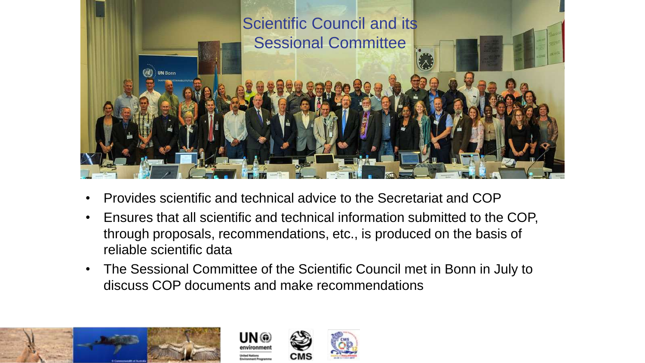

- Provides scientific and technical advice to the Secretariat and COP
- Ensures that all scientific and technical information submitted to the COP, through proposals, recommendations, etc., is produced on the basis of reliable scientific data
- The Sessional Committee of the Scientific Council met in Bonn in July to discuss COP documents and make recommendations





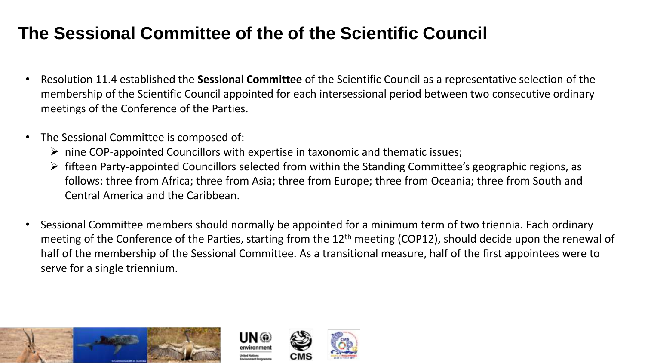#### **The Sessional Committee of the of the Scientific Council**

- Resolution 11.4 established the **Sessional Committee** of the Scientific Council as a representative selection of the membership of the Scientific Council appointed for each intersessional period between two consecutive ordinary meetings of the Conference of the Parties.
- The Sessional Committee is composed of:
	- $\triangleright$  nine COP-appointed Councillors with expertise in taxonomic and thematic issues;
	- $\triangleright$  fifteen Party-appointed Councillors selected from within the Standing Committee's geographic regions, as follows: three from Africa; three from Asia; three from Europe; three from Oceania; three from South and Central America and the Caribbean.
- Sessional Committee members should normally be appointed for a minimum term of two triennia. Each ordinary meeting of the Conference of the Parties, starting from the 12<sup>th</sup> meeting (COP12), should decide upon the renewal of half of the membership of the Sessional Committee. As a transitional measure, half of the first appointees were to serve for a single triennium.





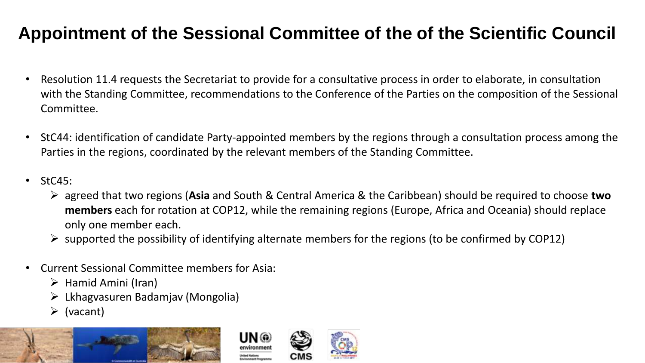#### **Appointment of the Sessional Committee of the of the Scientific Council**

- Resolution 11.4 requests the Secretariat to provide for a consultative process in order to elaborate, in consultation with the Standing Committee, recommendations to the Conference of the Parties on the composition of the Sessional Committee.
- StC44: identification of candidate Party-appointed members by the regions through a consultation process among the Parties in the regions, coordinated by the relevant members of the Standing Committee.
- StC45:
	- ➢ agreed that two regions (**Asia** and South & Central America & the Caribbean) should be required to choose **two members** each for rotation at COP12, while the remaining regions (Europe, Africa and Oceania) should replace only one member each.
	- $\triangleright$  supported the possibility of identifying alternate members for the regions (to be confirmed by COP12)
- Current Sessional Committee members for Asia:
	- $\triangleright$  Hamid Amini (Iran)
	- ➢ Lkhagvasuren Badamjav (Mongolia)
	- $\triangleright$  (vacant)